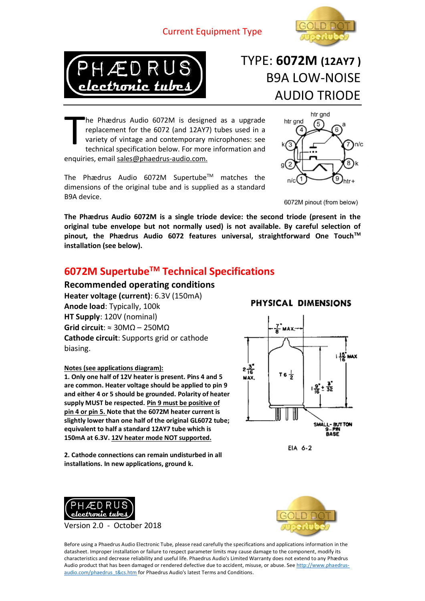#### Current Equipment Type





## TYPE: **6072M (12AY7 )** B9A LOW-NOISE AUDIO TRIODE

he Phædrus Audio 6072M is designed as a upgrade replacement for the 6072 (and 12AY7) tubes used in a variety of vintage and contemporary microphones: see technical specification below. For more information and enquiries, email sales@phaedrus-audio.com. T

The Phædrus Audio 6072M Supertube™ matches the dimensions of the original tube and is supplied as a standard B9A device.



6072M pinout (from below)

**The Phædrus Audio 6072M is a single triode device: the second triode (present in the original tube envelope but not normally used) is not available. By careful selection of pinout, the Phædrus Audio 6072 features universal, straightforward One TouchTM installation (see below).**

#### **6072M SupertubeTM Technical Specifications**

**Recommended operating conditions Heater voltage (current)**: 6.3V (150mA) **Anode load**: Typically, 100k **HT Supply**: 120V (nominal) **Grid circuit**: ≈ 30MΩ – 250MΩ **Cathode circuit**: Supports grid or cathode biasing.

#### **Notes (see applications diagram):**

**1. Only one half of 12V heater is present. Pins 4 and 5 are common. Heater voltage should be applied to pin 9 and either 4 or 5 should be grounded. Polarity of heater supply MUST be respected. Pin 9 must be positive of pin 4 or pin 5. Note that the 6072M heater current is slightly lower than one half of the original GL6072 tube; equivalent to half a standard 12AY7 tube which is 150mA at 6.3V. 12V heater mode NOT supported.**

**2. Cathode connections can remain undisturbed in all installations. In new applications, ground k.**

### Z MAX.  $142$  max 2 है  $T_6\frac{1}{2}$

PHYSICAL DIMENSIONS



EIA 6-2



Version 2.0 - October 2018



Before using a Phaedrus Audio Electronic Tube, please read carefully the specifications and applications information in the datasheet. Improper installation or failure to respect parameter limits may cause damage to the component, modify its characteristics and decrease reliability and useful life. Phaedrus Audio's Limited Warranty does not extend to any Phӕdrus Audio product that has been damaged or rendered defective due to accident, misuse, or abuse. Se[e http://www.phaedrus](http://www.phaedrus-audio.com/phaedrus_t&cs.htm)[audio.com/phaedrus\\_t&cs.htm](http://www.phaedrus-audio.com/phaedrus_t&cs.htm) for Phaedrus Audio's latest Terms and Conditions.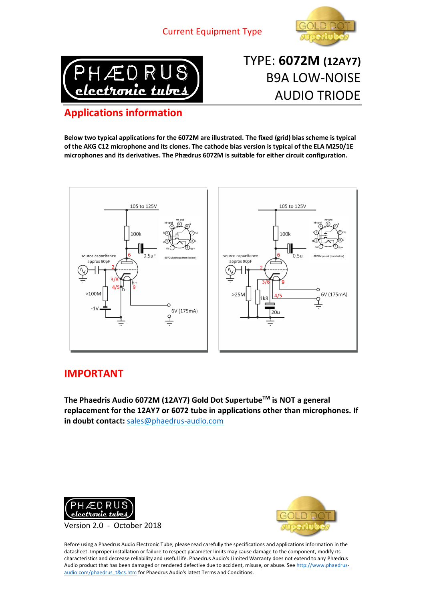



TYPE: **6072M (12AY7)** B9A LOW-NOISE AUDIO TRIODE

### **Applications information**

**Below two typical applications for the 6072M are illustrated. The fixed (grid) bias scheme is typical of the AKG C12 microphone and its clones. The cathode bias version is typical of the ELA M250/1E microphones and its derivatives. The Phӕdrus 6072M is suitable for either circuit configuration.**



#### **IMPORTANT**

**The Phaedris Audio 6072M (12AY7) Gold Dot SupertubeTM is NOT a general replacement for the 12AY7 or 6072 tube in applications other than microphones. If in doubt contact:** [sales@phaedrus-audio.com](mailto:sales@phaedrus-audio.com)





Before using a Phaedrus Audio Electronic Tube, please read carefully the specifications and applications information in the datasheet. Improper installation or failure to respect parameter limits may cause damage to the component, modify its characteristics and decrease reliability and useful life. Phaedrus Audio's Limited Warranty does not extend to any Phædrus Audio product that has been damaged or rendered defective due to accident, misuse, or abuse. Se[e http://www.phaedrus](http://www.phaedrus-audio.com/phaedrus_t&cs.htm)[audio.com/phaedrus\\_t&cs.htm](http://www.phaedrus-audio.com/phaedrus_t&cs.htm) for Phaedrus Audio's latest Terms and Conditions.